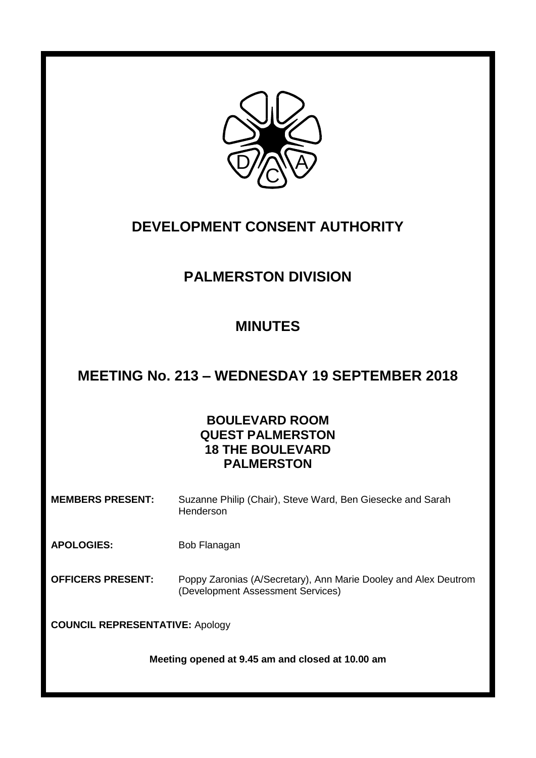

# **DEVELOPMENT CONSENT AUTHORITY**

## **PALMERSTON DIVISION**

## **MINUTES**

### **MEETING No. 213 – WEDNESDAY 19 SEPTEMBER 2018**

### **BOULEVARD ROOM QUEST PALMERSTON 18 THE BOULEVARD PALMERSTON**

**MEMBERS PRESENT:** Suzanne Philip (Chair), Steve Ward, Ben Giesecke and Sarah Henderson

APOLOGIES: Bob Flanagan

**OFFICERS PRESENT:** Poppy Zaronias (A/Secretary), Ann Marie Dooley and Alex Deutrom (Development Assessment Services)

**COUNCIL REPRESENTATIVE:** Apology

**Meeting opened at 9.45 am and closed at 10.00 am**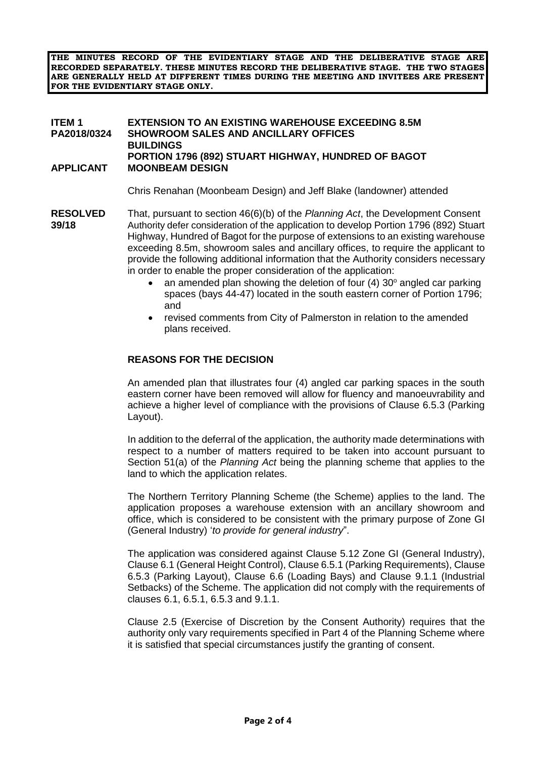**THE MINUTES RECORD OF THE EVIDENTIARY STAGE AND THE DELIBERATIVE STAGE ARE RECORDED SEPARATELY. THESE MINUTES RECORD THE DELIBERATIVE STAGE. THE TWO STAGES ARE GENERALLY HELD AT DIFFERENT TIMES DURING THE MEETING AND INVITEES ARE PRESENT FOR THE EVIDENTIARY STAGE ONLY.**

### **ITEM 1 EXTENSION TO AN EXISTING WAREHOUSE EXCEEDING 8.5M SHOWROOM SALES AND ANCILLARY OFFICES BUILDINGS PORTION 1796 (892) STUART HIGHWAY, HUNDRED OF BAGOT APPLICANT MOONBEAM DESIGN**

Chris Renahan (Moonbeam Design) and Jeff Blake (landowner) attended

- **RESOLVED** That, pursuant to section 46(6)(b) of the *Planning Act*, the Development Consent **39/18** Authority defer consideration of the application to develop Portion 1796 (892) Stuart Highway, Hundred of Bagot for the purpose of extensions to an existing warehouse exceeding 8.5m, showroom sales and ancillary offices, to require the applicant to provide the following additional information that the Authority considers necessary in order to enable the proper consideration of the application:
	- an amended plan showing the deletion of four  $(4)$  30 $^{\circ}$  angled car parking spaces (bays 44-47) located in the south eastern corner of Portion 1796; and
	- revised comments from City of Palmerston in relation to the amended plans received.

### **REASONS FOR THE DECISION**

An amended plan that illustrates four (4) angled car parking spaces in the south eastern corner have been removed will allow for fluency and manoeuvrability and achieve a higher level of compliance with the provisions of Clause 6.5.3 (Parking Layout).

In addition to the deferral of the application, the authority made determinations with respect to a number of matters required to be taken into account pursuant to Section 51(a) of the *Planning Act* being the planning scheme that applies to the land to which the application relates.

The Northern Territory Planning Scheme (the Scheme) applies to the land. The application proposes a warehouse extension with an ancillary showroom and office, which is considered to be consistent with the primary purpose of Zone GI (General Industry) '*to provide for general industry*".

The application was considered against Clause 5.12 Zone GI (General Industry), Clause 6.1 (General Height Control), Clause 6.5.1 (Parking Requirements), Clause 6.5.3 (Parking Layout), Clause 6.6 (Loading Bays) and Clause 9.1.1 (Industrial Setbacks) of the Scheme. The application did not comply with the requirements of clauses 6.1, 6.5.1, 6.5.3 and 9.1.1.

Clause 2.5 (Exercise of Discretion by the Consent Authority) requires that the authority only vary requirements specified in Part 4 of the Planning Scheme where it is satisfied that special circumstances justify the granting of consent.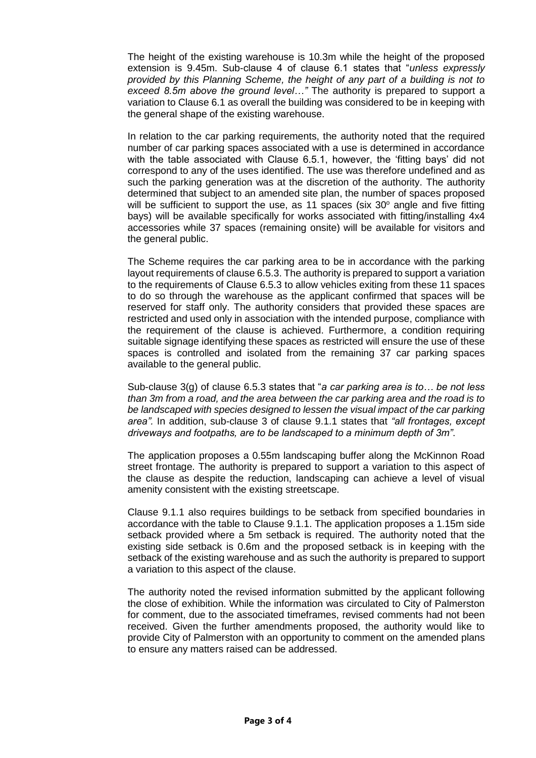The height of the existing warehouse is 10.3m while the height of the proposed extension is 9.45m. Sub-clause 4 of clause 6.1 states that "*unless expressly provided by this Planning Scheme, the height of any part of a building is not to exceed 8.5m above the ground level…"* The authority is prepared to support a variation to Clause 6.1 as overall the building was considered to be in keeping with the general shape of the existing warehouse.

In relation to the car parking requirements, the authority noted that the required number of car parking spaces associated with a use is determined in accordance with the table associated with Clause 6.5.1, however, the 'fitting bays' did not correspond to any of the uses identified. The use was therefore undefined and as such the parking generation was at the discretion of the authority. The authority determined that subject to an amended site plan, the number of spaces proposed will be sufficient to support the use, as 11 spaces (six  $30^{\circ}$  angle and five fitting bays) will be available specifically for works associated with fitting/installing 4x4 accessories while 37 spaces (remaining onsite) will be available for visitors and the general public.

The Scheme requires the car parking area to be in accordance with the parking layout requirements of clause 6.5.3. The authority is prepared to support a variation to the requirements of Clause 6.5.3 to allow vehicles exiting from these 11 spaces to do so through the warehouse as the applicant confirmed that spaces will be reserved for staff only. The authority considers that provided these spaces are restricted and used only in association with the intended purpose, compliance with the requirement of the clause is achieved. Furthermore, a condition requiring suitable signage identifying these spaces as restricted will ensure the use of these spaces is controlled and isolated from the remaining 37 car parking spaces available to the general public.

Sub-clause 3(g) of clause 6.5.3 states that "*a car parking area is to… be not less than 3m from a road, and the area between the car parking area and the road is to be landscaped with species designed to lessen the visual impact of the car parking area".* In addition, sub-clause 3 of clause 9.1.1 states that *"all frontages, except driveways and footpaths, are to be landscaped to a minimum depth of 3m"*.

The application proposes a 0.55m landscaping buffer along the McKinnon Road street frontage. The authority is prepared to support a variation to this aspect of the clause as despite the reduction, landscaping can achieve a level of visual amenity consistent with the existing streetscape.

Clause 9.1.1 also requires buildings to be setback from specified boundaries in accordance with the table to Clause 9.1.1. The application proposes a 1.15m side setback provided where a 5m setback is required. The authority noted that the existing side setback is 0.6m and the proposed setback is in keeping with the setback of the existing warehouse and as such the authority is prepared to support a variation to this aspect of the clause.

The authority noted the revised information submitted by the applicant following the close of exhibition. While the information was circulated to City of Palmerston for comment, due to the associated timeframes, revised comments had not been received. Given the further amendments proposed, the authority would like to provide City of Palmerston with an opportunity to comment on the amended plans to ensure any matters raised can be addressed.